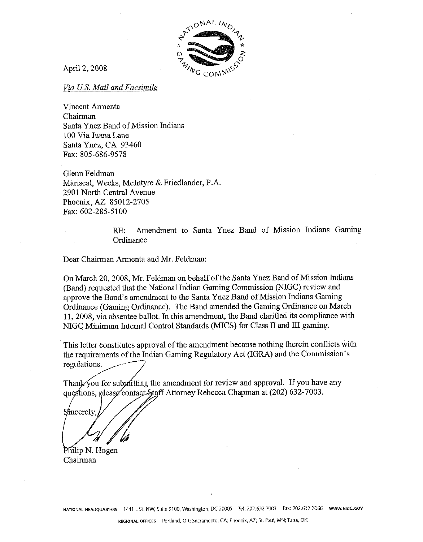

April 2,2008

*Via US. Mail and* **Facsimile** 

Vincent Armenta Chairman Santa Ynez Band of Mission Indians 100 Via Juana Lane Santa Ynez, CA 93460 Fax: 805-686-9578

Glenn Feldman Mariscal, Weeks, McIntyre & Friedlander, P.A. 2901 North Central Avenue Phoenix, **AZ** 85012-2705 Fax: 602-285-5100

> **RE:** Amendment to Santa Ynez Band of Mission Indians Gaming **Ordinance**

Dear Chairman Armenta and Mr. Feldman:

On March 20,2008, Mr. Feldrnan on behalf of the Santa Ynez Band of Mission Indians (Band) requested that the National Indian Gaming Commission (NIGC) review and approve the Band's amendment to the Santa Ynez Band of Mission Indians Gaming Ordinance (Gaming Ordinance). The Band amended the Gaming Ordinance on March 11,2008, via absentee ballot. In this amendment, the Band clarified its compliance with NlGC Minimum Internal Control Standards (MICS) for Class I1 and I11 gaming.

This letter constitutes approval of the amendment because nothing therein conflicts with the requirements of the Indian Gaming Regulatory Act (IGRA) and the Commission's regulations.

Thank you for submitting the amendment for review and approval. If you have any questions, please contact Staff Attorney Rebecca Chapman at (202) 632-7003.

Sincerely

Philip N. Hogen Chairman

**NATIONAL HEADQUARTERS 1441 L St.** NW, Suite 9100, Washington, DC 20005 Tel: 202.632.7W3 Fax: 202.632 7066 **WW.NlGC.GOV**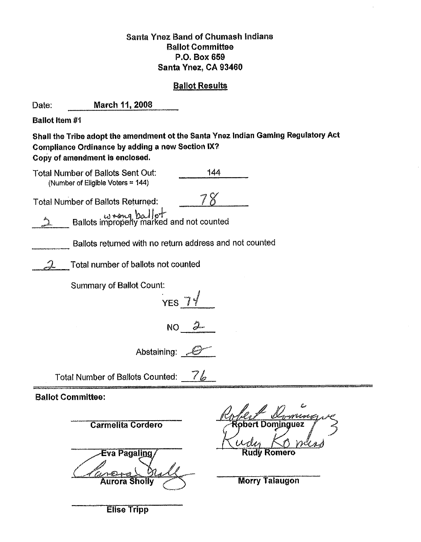# Santa Ynez Band of Chumash Indians Ballot Committee **B.O.** Box **659**  Santa Ynez, **CA 93460**

# **Ballot Results**

 $\sim 10$ 

**Contractor** 

| Date:                                                                                                                                                                           | March 11, 2008                               |     |                                                                                            |
|---------------------------------------------------------------------------------------------------------------------------------------------------------------------------------|----------------------------------------------|-----|--------------------------------------------------------------------------------------------|
| <b>Ballot Item #1</b>                                                                                                                                                           |                                              |     |                                                                                            |
| Shall the Tribe adopt the amendment ot the Santa Ynez Indian Gaming Regulatory Act<br><b>Compliance Ordinance by adding a new Section IX?</b><br>Copy of amendment is enclosed. |                                              |     |                                                                                            |
| <b>Total Number of Ballots Sent Out:</b><br>(Number of Eligible Voters = 144)                                                                                                   |                                              | 144 |                                                                                            |
|                                                                                                                                                                                 | <b>Total Number of Ballots Returned:</b>     |     |                                                                                            |
| Ballots improperly marked and not counted                                                                                                                                       |                                              |     |                                                                                            |
| Ballots returned with no return address and not counted                                                                                                                         |                                              |     |                                                                                            |
| Total number of ballots not counted                                                                                                                                             |                                              |     |                                                                                            |
| <b>Summary of Ballot Count:</b><br>$YES_7$                                                                                                                                      |                                              |     |                                                                                            |
| $\mathcal{Z}$<br>NO <sub>1</sub>                                                                                                                                                |                                              |     |                                                                                            |
| Abstaining:                                                                                                                                                                     |                                              |     |                                                                                            |
| Total Number of Ballots Counted: 76                                                                                                                                             |                                              |     |                                                                                            |
| <b>Ballot Committee:</b>                                                                                                                                                        |                                              |     |                                                                                            |
|                                                                                                                                                                                 | <b>Carmelita Cordero</b>                     |     | فيريا<br>$\land$ $\emptyset$<br>- IT<br>$\mathscr{M}$<br>mmmm<br>Robert Dom <u>i</u> nguez |
|                                                                                                                                                                                 | Eva Pagal <u>ing</u><br><b>Aurora Sholly</b> |     | <b>Rudy Romero</b><br><b>Morry Talaugon</b>                                                |

Elise Tripp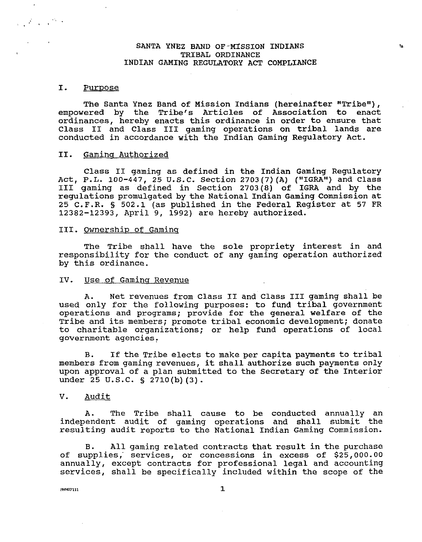#### SANTA YNEZ BAND OF-MISSION INDIANS TRIBAL ORDINANCE INDIAN GAMING REGULATORY ACT COMPLIANCE

 $\mathbf{S}_{\mathbf{R}}$ 

#### I. Purpose

 $\frac{1}{2\pi\sqrt{2}}\int_{-\infty}^{\infty}\frac{1}{2\pi\sqrt{2}}\frac{dx}{dx}dx$ 

The Santa Ynez Band of Mission Indians (hereinafter "Tribe"), empowered by the Tribe's Articles of Association to enact ordinances, hereby enacts this ordinance in order to ensure that Class I1 and Class I11 gaming operations on tribal lands are conducted in accordance with the Indian Gaming Regulatory Act.

#### 11. Gaminq Authorized

Class I1 gaming as defined in the Indian Gaming Regulatory Act, P.L. 100-447, 25 U.S.C. Section 2703(7)(A) ("IGRA") and Class I11 gaming as defined in Section 2703(8) of IGRA and by the regulations promulgated by the National Indian Gaming Commission at 25 C. F.R. **S** 502.1 (as published in the Federal Register at 57 FR 12382-12393, April 9, 1992) are hereby authorized.

#### III. Ownership of Gaminq

The Tribe shall have the sole propriety interest in and responsibility for the conduct of any gaming operation authorized by this ordinance.

### IV. Use of Gaminq Revenue

A. Net revenues from Class I1 and Class I11 gaming shall be used only for the following purposes: to fund tribal government operations and programs; provide for the general welfare of the Tribe and its members; promote tribal economic development; donate to charitable organizations; or help fund operations of local government agencies:

B. If the Tribe elects to make per capita payments to tribal members from gaming revenues, it shall authorize such payments only upon approval of a plan submitted to the Secretary of the Interior under 25 U.S.C. **S** 2710(b) (3).

#### V. Audit

A. The Tribe shall cause to be conducted annually an independent audit of gaming operations and shall submit the resulting audit reports to the National Indian Gaming Commission.

B. All gaming related contracts that result in the purchase of supplies, services, or concessions in excess of \$25,000.00 annually, except contracts for professional legal and accounting services, shall be specifically included within the scope of the

**PNN07111** 

 $\mathbf{1}$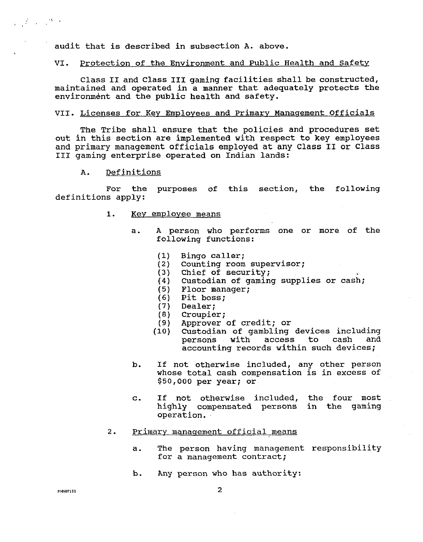audit that is described in subsection A. above.

#### VI. Protection of the Environment and Public Health and Safety

Class I1 and Class I11 gaming facilities shall be constructed, maintained and operated in a manner that adequately protects the environment and the public health and safety.

#### VII. Licenses for Kev Emplovees and Primarv Manaqement Officials

The Tribe shall ensure that the policies and procedures set out in this section are implemented with respect to key employees and primary management officials employed at any Class I1 or Class I11 gaming enterprise operated on Indian lands:

A. Definitions

For the purposes of this section, the following definitions apply:

- 1. Key employee means
	- a. A person who performs one or more of the following functions:
		- Bingo caller;  $(1)$
		- Counting room supervisor;  $(2)$
		- $(3)$ Chief of security;
		- Custodian of gaming supplies or cash;  $(4)$
		- (5) Floor manager;
		- Pit boss; Dealer ;  $(6)$
		- $(7)$
		- $(8)$ Croupier;
		- $(9)$ Approver of credit; or
		- Custodian of gambling devices including  $(10)$ persons with access to cash accounting records within such devices;
	- b. If not otherwise included, any other person whose total cash compensation is in excess of **\$50,000** per year; or
	- c. If not otherwise included, the four most highly compensated persons in the gaming operation.
- 2. Primary management official means
	- a. The person having management responsibility for a management contract;
	- b. Any person who has authority: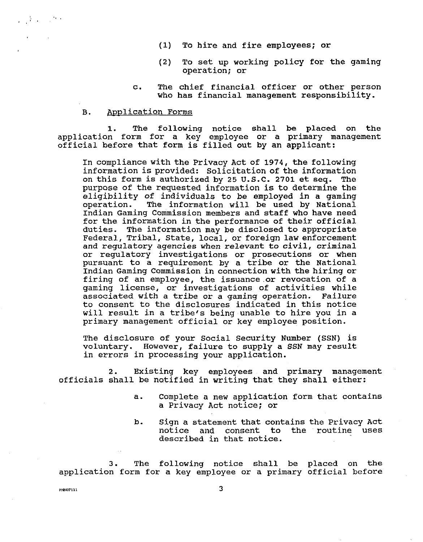- (1) To hire and fire employees; or
- **(2)** To set up working policy for the gaming operation; or
- c. The chief financial officer or other person who has financial management responsibility.

#### B. Application Forms

 $\frac{1}{2} \sum_{i=1}^n \sum_{j=1}^n \frac{1}{j} \sum_{j=1}^n \frac{1}{j} \sum_{j=1}^n \frac{1}{j} \sum_{j=1}^n \frac{1}{j} \sum_{j=1}^n \frac{1}{j} \sum_{j=1}^n \frac{1}{j} \sum_{j=1}^n \frac{1}{j} \sum_{j=1}^n \frac{1}{j} \sum_{j=1}^n \frac{1}{j} \sum_{j=1}^n \frac{1}{j} \sum_{j=1}^n \frac{1}{j} \sum_{j=1}^n \frac{1}{j} \sum_{j=1}^n \frac{$ 

**1.** The following notice shall be placed on the application form for a key employee or a primary management official before that form is filled out by an applicant:

In compliance with the Privacy Act of **1974,** the following information is provided: Solicitation of the information on this form is authorized by **25** U.S.C. **2701** et seq. The purpose of the requested information is to determine the eligibility of individuals to be employed in a gaming operation. The information will be used by National Indian Gaming Commission members and staff who have need for the information in the performance of their official duties. The information may be disclosed to appropriate Federal, Tribal, State, local, or foreign law enforcement and regulatory agencies when relevant to civil, criminal or regulatory investigations or prosecutions or when pursuant to a requirement by a tribe or the National Indian Gaming Commission in connection with the hiring or firing of an employee, the issuance or revocation of a gaming license, or investigations of activities while associated with a tribe or a gaming operation. Failure to consent to the disclosures indicated in this notice will result in a tribe's being unable to hire you in a primary management official or key employee position.

The disclosure of your Social Security Number (SSN) is voluntary. However, failure to supply a SSN may result in errors in processing your application.

**2.** Existing key employees and primary management officials shall be notified in writing that they shall either:

- a. Complete a new application form that contains a Privacy Act notice; or
- b. Sign a statement that contains the Privacy Act notice and consent to the routine uses described in that notice.

3. The following notice shall be placed on the application form for a key employee or a primary official before

**3 3**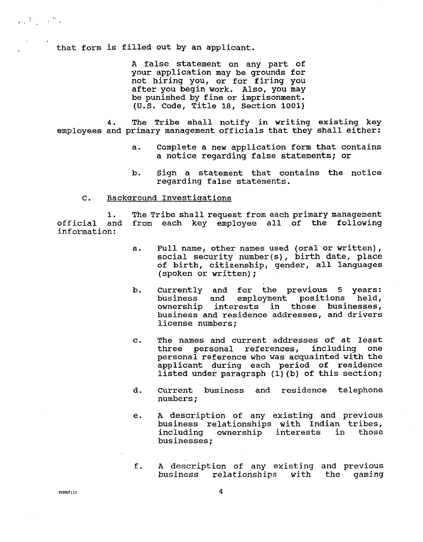that form is filled out by an applicant.

A false statement on any part of your application may be grounds for not hiring you, or for firing you after you begin work. Also, you may be punished by fine or imprisonment. (U.S. Code, Title 18, Section 1001)

4. The Tribe shall notify in writing existing key employees and primary management officials that they shall either:

- a. Complete a new application form that contains a notice regarding false statements; or
- b. Sign a statement that contains the notice regarding false statements.

### C. Background Investigations

1. The Tribe shall request from each primary management<br>and from each key employee all of the following official and from each key employee all of the following information:

- a. Full name, other names used (oral or written), social security number (s) , birth date, place of birth, citizenship, gender, all languages (spoken or written) ;
- b. Currently and for the previous 5 years:<br>business and employment positions held, employment positions held, ownership interests in those businesses, business and residence addresses, and drivers license numbers;
- c. The names and current addresses of at least three personal references, including one personal reference who was acquainted with the applicant during each period of residence listed under paragraph (1) (b) of this section;
- d. Current business and residence telephone numbers ;
- e. A description of any existing and previous business relationships with Indian tribes,<br>including ownership interests in those including ownership interests businesses;
- f. A description of any existing and previous business relationships with the gaming

PNN07111

4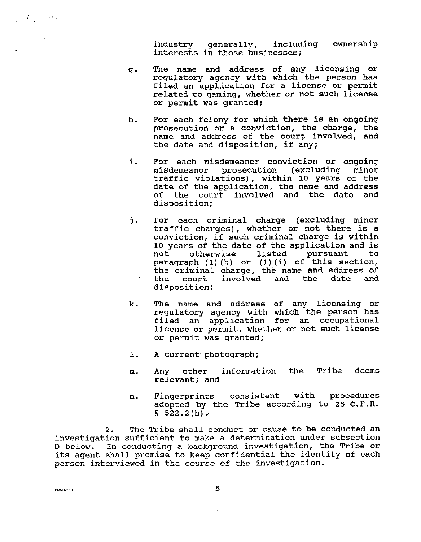industry generally, including ownership interests in those businesses;

- g. The name and address of any licensing or regulatory agency with which the person has filed an application for a license or permit related to gaming, whether or not such license or permit was granted;
- h. For each felony for which there is an ongoing prosecution or a conviction, the charge, the name and address of the court involved, and the date and disposition, if any;
- <sup>i</sup>. For each misdemeanor conviction or ongoing misdemeanor prosecution (excluding traffic violations), within 10 years of the date of the application, the name and address of the court involved and the date and disposition;
- **j.** For each criminal charge (excluding minor traffic charges), whether or not there is a conviction, if such criminal charge is within 10 years of the date of the application and is<br>not otherwise listed pursuant to not otherwise listed pursuant to paragraph (1) (h) or (1) (i) of this section, the criminal charge, the name and address of<br>the court involved and the date and involved disposition;
- k. The name and address of any licensing or regulatory agency with which the person has filed an application for an occupational license or permit, whether or not such license or permit was granted;
- 1. A current photograph;
- m. Any other information the Tribe deems relevant; and
- n. Fingerprints consistent with procedures adopted by the Tribe according to 25 C.F.R. § 522.2 (h) .

2. The Tribe shall conduct or cause to be conducted an investigation sufficient to make a determination under subsection D below. In conducting a background investigation, the Tribe or its agent shall promise to keep confidential the identity of each person interviewed in the course of the investigation.

**PNN07111** 

 $\mathcal{L}^{\text{max}}_{\text{max}}$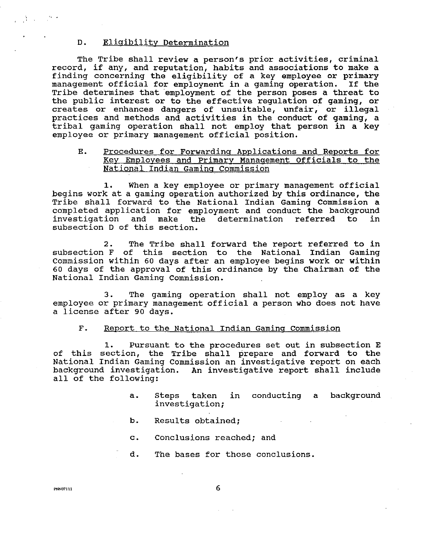#### D. Eliaibilitv Determination

The Tribe shall review a person's prior activities, criminal record, if any, and reputation, habits and associations to make a finding concerning the eligibility of a key employee or primary management official for employment in a gaming operation. If the Tribe determines that employment of the person poses a threat to the public interest or to the effective regulation of gaming, or creates or enhances dangers of unsuitable, unfair, or illegal practices and methods and activities in the conduct of gaming, a tribal gaming operation shall not employ that person in a key employee or primary management official position.

## E. Procedures for Forwardina Applications and Reports for Key Employees and Primarv Manaaement Officials to the National Indian Gaming Commission

1. When a key employee or primary management official begins work at a gaming operation authorized by this ordinance, the Tribe shall forward to the National Indian Gaming Commission a completed application for employment and conduct the background and make the determination referred to subsection D of this section.

2. The Tribe shall forward the report referred to in subsection F of this section to the National Indian Gaming Commission within 60 days after an employee begins work or within 60 days of the approval of this ordinance by the Chairman of the National Indian Gaming Commission.

3. The gaming operation shall not employ as a key employee or primary management official a person who does not have a license after 90 days.

### F. Report to the National Indian Gamina Commission

**1.** Pursuant to the procedures set out in subsection E of this section, the Tribe shall prepare and forward to the National Indian Gaming Commission an investigative report on each background investigation. An investigative report shall include all of the following:

- a. Steps taken in conducting a background investigation;
- b. Results obtained;
- c. Conclusions reached; and
- d. The bases for those conclusions.

 $\mathcal{A} \subset \mathcal{A}$  , and  $\mathcal{B} \subset \mathcal{B}$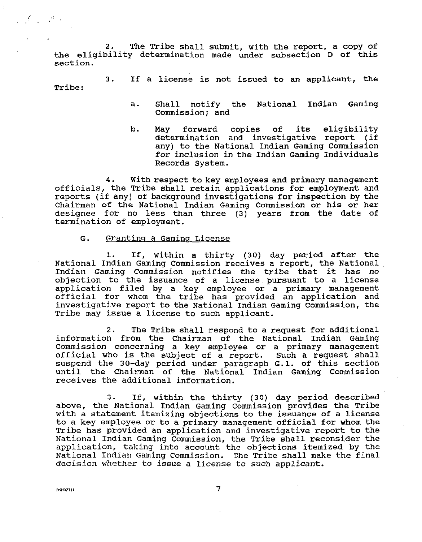2. The Tribe shall submit, with the report, a copy of the eligibility determination made under subsection D of this section.

3. If a license is not issued to an applicant, the Tribe:

- a. Shall notify the National Indian Gaming Commission; and
- b. May forward copies of its eligibility determination and investigative report (if any) to the National Indian Gaming Commission for inclusion in the Indian Gaming Individuals Records System.

**4.** With respect to key employees and primary management officials, the Tribe shall retain applications for employment and reports (if any) of background investigations for inspection by the Chairman of the National Indian Gaming Commission or his or her designee for no less than three (3) years from the date of termination of employment.

#### G. Granting a Gaming License

1. If, within a thirty (30) day period after the National Indian Gaming Commission receives a report, the National Indian Gaming Commission notifies the tribe that it has no objection to the issuance of a license pursuant to a license application filed by a key employee or a primary management official for whom the tribe has provided an application and investigative report to the National Indian Gaming commission, the Tribe may issue a license to such applicant.

**2.** The Tribe shall respond to a request for additional information from the Chairman of the National Indian Gaming Commission concerning a key employee or a primary management official who is the subject of a report. Such a request shall suspend the 30-day period under paragraph G.1. of this section until the Chairman of the National Indian Gaming Commission receives the additional information.

3. If, within the thirty (30) day period described above, the National Indian Gaming Commission provides the Tribe with a statement itemizing objections to the issuance of a license to a key employee or to a primary management official for whom the Tribe has provided an application and investigative report to the National Indian Gaming Commission, the Tribe shall reconsider the application, taking into account the objections itemized by the National Indian Gaming Commission. The Tribe shall make the final decision whether to issue a license to such applicant.

**PNN07111** 

 $\mathcal{L}^{\text{max}}$  ,  $\mathcal{L}^{\text{max}}$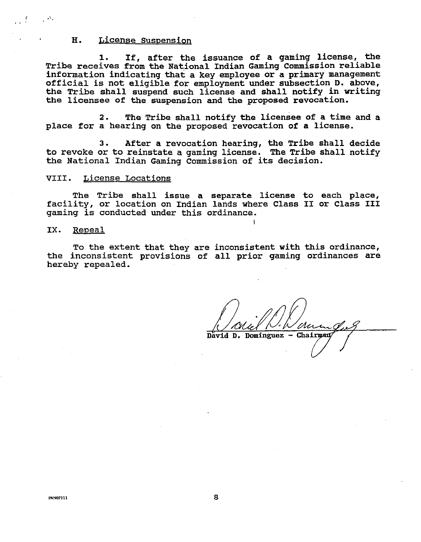#### H. License Suspension

1. If, after the issuance of a gaming license, the Tribe receives from the National Indian Gaming Commission reliable information indicating that a key employee or a primary management official is not eligible for employment under subsection D. above, the Tribe shall suspend such license and shall notify in writing the licensee of the suspension and the proposed revocation.

**2.** The Tribe shall notify the licensee of a time and a place for a hearing on the proposed revocation of a license.

3. After a revocation hearing, the Tribe shall decide to revoke or to reinstate a gaming license. The Tribe shall notify the National Indian Gaming Commission of its decision.

### VIII. License Locations

The Tribe shall issue a separate license to each place, facility, or location on Indian lands where Class I1 or Class I11 gaming is conducted under this ordinance.

I

#### IX. Repeal

To the extent that they are inconsistent with this ordinance, the inconsistent provisions of all prior gaming ordinances are hereby repealed.

David D. Dominguez - Chairman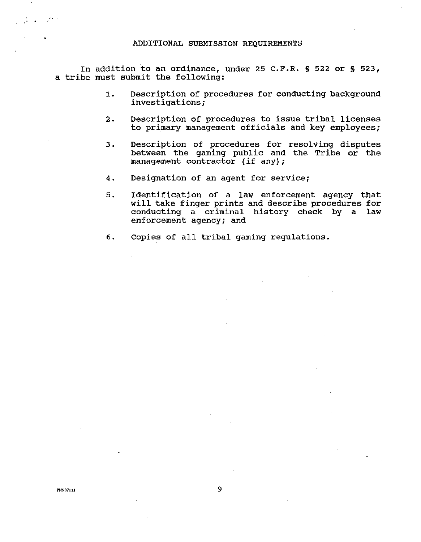In addition to an ordinance, under 25 C.F.R. **S** 522 or **S** 523, a tribe must submit the following:

- **1.** Description of procedures for conducting background investigations;
- 2. Description of procedures to issue tribal licenses to primary management officials and key employees;
- 3. Description of procedures for resolving disputes between the gaming public and the Tribe or the management contractor (if any) ;
- 4. Designation of an agent for service;
- 5. Identification of a law enforcement agency that will take finger prints and describe procedures for conducting a criminal history check by a law enforcement agency; and
- 6. Copies of all tribal gaming regulations.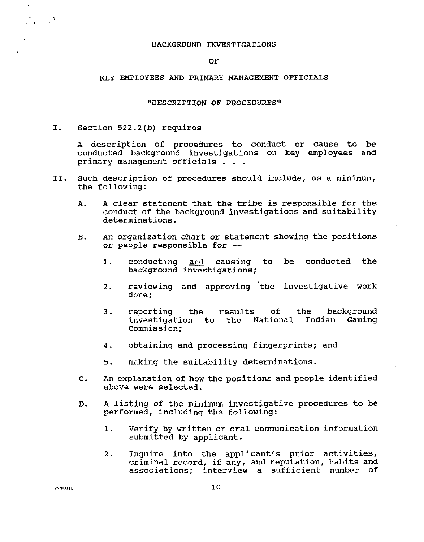#### BACKGROUND INVESTIGATIONS

OF

## KEY EMPLOYEES AND PRIMARY MANAGEMENT OFFICIALS

#### "DESCRIPTION OF PROCEDURES"

I. Section 522.2(b) requires

A description of procedures to conduct or cause to be conducted background investigations on key employees and primary management officials . . .

- 11. Such description of procedures should include, as a minimum, the following:
	- A. A clear statement that the tribe is responsible for the conduct of the background investigations and suitability determinations.
	- **B.** An organization chart or statement showing the positions or people responsible for --
		- 1. conducting and causing to be conducted the background investigations;
		- 2. reviewing and approving 'the investigative work done ;
		- 3. reporting the results of the background<br>investigation to the National Indian Gaming investigation to the National Commission;
		- 4. obtaining and processing fingerprints; and
		- 5. making the suitability determinations.
	- **C.** An explanation of how the positions and people identified above were selected.
	- D. A listing of the minimum investigative procedures to be performed, including.the following:
		- 1. Verify by written or oral communication information submitted by applicant.
		- 2: Inquire into the applicant's prior activities, criminal record, if any, and reputation, habits and associations; interview a sufficient number of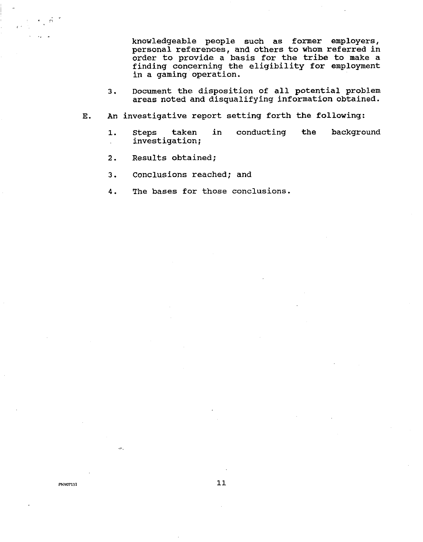knowledgeable people such as former employers, personal references, and others to whom referred in order to provide a basis for the tribe to make a finding concerning the eligibility for employment in a gaming operation.

- 3. Document the disposition of all potential problem areas noted and disqualifying information obtained.
- **E.** An investigative report setting forth the following:
	- 1. steps taken in conducting the background investigation;
	- 2. Results obtained;
	- 3. Conclusions reached; and
	- 4. The bases for those conclusions.

PNN07111

 $\epsilon = \epsilon_{\rm V}$